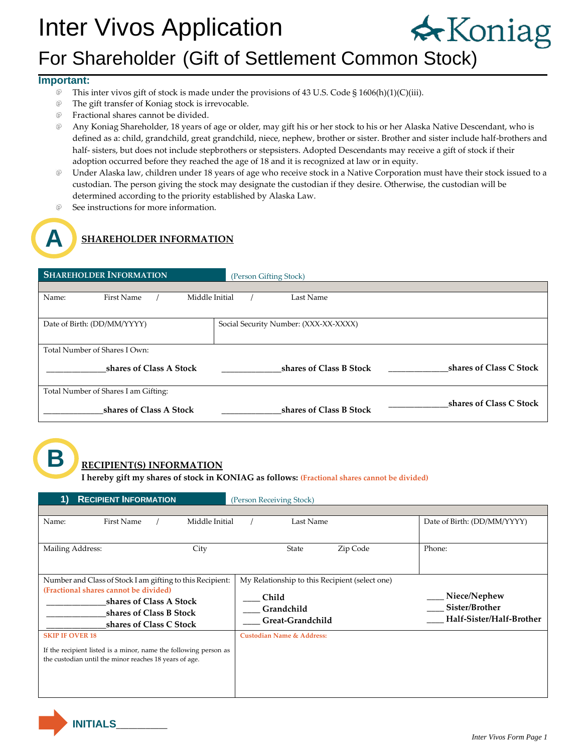# Inter Vivos Application

**A** Koniag

## For Shareholder (Gift of Settlement Common Stock)

#### **Important:**

- $\circledcirc$ This inter vivos gift of stock is made under the provisions of 43 U.S. Code §  $1606(h)(1)(C(iii)$ .
- $^\copyright$ The gift transfer of Koniag stock is irrevocable.
- $^\copyright$ Fractional shares cannot be divided.
- $^{\circ}$ Any Koniag Shareholder, 18 years of age or older, may gift his or her stock to his or her Alaska Native Descendant, who is defined as a: child, grandchild, great grandchild, niece, nephew, brother or sister. Brother and sister include half-brothers and half- sisters, but does not include stepbrothers or stepsisters. Adopted Descendants may receive a gift of stock if their adoption occurred before they reached the age of 18 and it is recognized at law or in equity.
- $\copyright$ Under Alaska law, children under 18 years of age who receive stock in a Native Corporation must have their stock issued to a custodian. The person giving the stock may designate the custodian if they desire. Otherwise, the custodian will be determined according to the priority established by Alaska Law.
- $^\copyright$ See instructions for more information.



**B**

**INITIALS\_\_\_\_\_\_\_\_\_\_\_\_**

#### **SHAREHOLDER INFORMATION**

| <b>SHAREHOLDER INFORMATION</b>        | (Person Gifting Stock)                |                         |
|---------------------------------------|---------------------------------------|-------------------------|
|                                       |                                       |                         |
| Name:<br>First Name<br>Middle Initial | Last Name                             |                         |
| Date of Birth: (DD/MM/YYYY)           | Social Security Number: (XXX-XX-XXXX) |                         |
| Total Number of Shares I Own:         |                                       |                         |
| shares of Class A Stock               | shares of Class B Stock               | shares of Class C Stock |
| Total Number of Shares I am Gifting:  |                                       |                         |
| shares of Class A Stock               | shares of Class B Stock               | shares of Class C Stock |

#### **RECIPIENT(S) INFORMATION**

**I hereby gift my shares of stock in KONIAG as follows: (Fractional shares cannot be divided)**

#### **1) RECIPIENT INFORMATION** (Person Receiving Stock)

| Name:<br>First Name                                              | Middle Initial |                                                | Last Name |          | Date of Birth: (DD/MM/YYYY) |
|------------------------------------------------------------------|----------------|------------------------------------------------|-----------|----------|-----------------------------|
|                                                                  |                |                                                |           |          |                             |
| Mailing Address:                                                 | City           | State                                          |           | Zip Code | Phone:                      |
|                                                                  |                |                                                |           |          |                             |
| Number and Class of Stock I am gifting to this Recipient:        |                | My Relationship to this Recipient (select one) |           |          |                             |
| (Fractional shares cannot be divided)                            |                |                                                |           |          |                             |
| shares of Class A Stock                                          |                | Child                                          |           |          | Niece/Nephew                |
| shares of Class B Stock                                          |                | Grandchild                                     |           |          | Sister/Brother              |
| shares of Class C Stock                                          |                | Great-Grandchild                               |           |          | Half-Sister/Half-Brother    |
| <b>SKIP IF OVER 18</b>                                           |                | <b>Custodian Name &amp; Address:</b>           |           |          |                             |
| If the recipient listed is a minor, name the following person as |                |                                                |           |          |                             |
| the custodian until the minor reaches 18 years of age.           |                |                                                |           |          |                             |
|                                                                  |                |                                                |           |          |                             |
|                                                                  |                |                                                |           |          |                             |
|                                                                  |                |                                                |           |          |                             |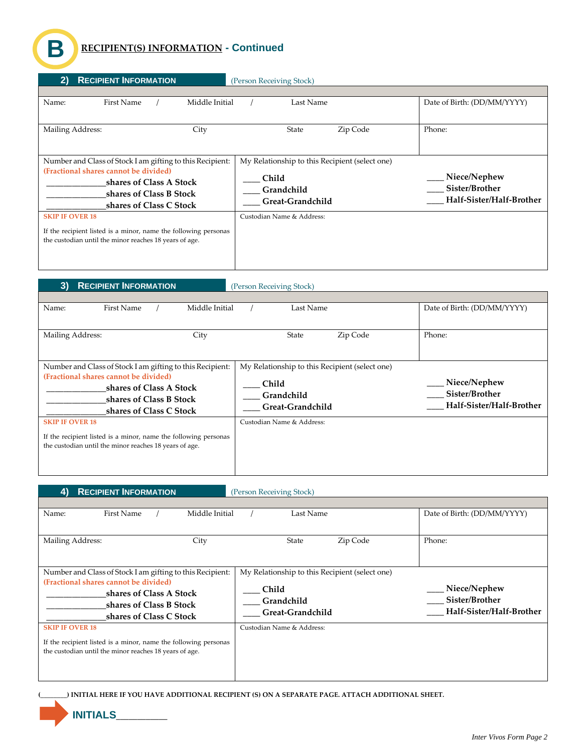

#### **B RECIPIENT(S) INFORMATION - Continued**

| <b>RECIPIENT INFORMATION</b><br>$\mathbf{2}$                     | (Person Receiving Stock)                       |                                 |
|------------------------------------------------------------------|------------------------------------------------|---------------------------------|
|                                                                  |                                                |                                 |
| Name:<br>First Name<br>Middle Initial                            | Last Name                                      | Date of Birth: (DD/MM/YYYY)     |
|                                                                  |                                                |                                 |
| Mailing Address:<br>City                                         | Zip Code<br><b>State</b>                       | Phone:                          |
|                                                                  |                                                |                                 |
| Number and Class of Stock I am gifting to this Recipient:        | My Relationship to this Recipient (select one) |                                 |
| (Fractional shares cannot be divided)<br>shares of Class A Stock | Child<br>Grandchild                            | Niece/Nephew]<br>Sister/Brother |
| shares of Class B Stock                                          | Great-Grandchild                               | Half-Sister/Half-Brother        |
| shares of Class C Stock                                          |                                                |                                 |
| <b>SKIP IF OVER 18</b>                                           | Custodian Name & Address:                      |                                 |
| If the recipient listed is a minor, name the following personas  |                                                |                                 |
| the custodian until the minor reaches 18 years of age.           |                                                |                                 |
|                                                                  |                                                |                                 |
|                                                                  |                                                |                                 |

| <b>RECIPIENT INFORMATION</b><br>3)                                                                                                                                                  | (Person Receiving Stock)                                                                  |                                                            |
|-------------------------------------------------------------------------------------------------------------------------------------------------------------------------------------|-------------------------------------------------------------------------------------------|------------------------------------------------------------|
|                                                                                                                                                                                     |                                                                                           |                                                            |
| Name:<br>First Name<br>Middle Initial                                                                                                                                               | Last Name                                                                                 | Date of Birth: (DD/MM/YYYY)                                |
| Mailing Address:<br>City                                                                                                                                                            | Zip Code<br>State                                                                         | Phone:                                                     |
| Number and Class of Stock I am gifting to this Recipient:<br>(Fractional shares cannot be divided)<br>shares of Class A Stock<br>shares of Class B Stock<br>shares of Class C Stock | My Relationship to this Recipient (select one)<br>Child<br>Grandchild<br>Great-Grandchild | Niece/Nephew<br>Sister/Brother<br>Half-Sister/Half-Brother |
| <b>SKIP IF OVER 18</b><br>If the recipient listed is a minor, name the following personas<br>the custodian until the minor reaches 18 years of age.                                 | Custodian Name & Address:                                                                 |                                                            |

| <b>RECIPIENT INFORMATION</b><br>4)                                                                                                                                                  | (Person Receiving Stock)                                                                  |                                                            |
|-------------------------------------------------------------------------------------------------------------------------------------------------------------------------------------|-------------------------------------------------------------------------------------------|------------------------------------------------------------|
| First Name<br>Middle Initial<br>Name:                                                                                                                                               | Last Name                                                                                 | Date of Birth: (DD/MM/YYYY)                                |
| Mailing Address:<br>City                                                                                                                                                            | Zip Code<br><b>State</b>                                                                  | Phone:                                                     |
| Number and Class of Stock I am gifting to this Recipient:<br>(Fractional shares cannot be divided)<br>shares of Class A Stock<br>shares of Class B Stock<br>shares of Class C Stock | My Relationship to this Recipient (select one)<br>Child<br>Grandchild<br>Great-Grandchild | Niece/Nephew<br>Sister/Brother<br>Half-Sister/Half-Brother |
| <b>SKIP IF OVER 18</b><br>If the recipient listed is a minor, name the following personas<br>the custodian until the minor reaches 18 years of age.                                 | Custodian Name & Address:                                                                 |                                                            |

**(\_\_\_\_\_\_\_\_) INITIAL HERE IF YOU HAVE ADDITIONAL RECIPIENT (S) ON A SEPARATE PAGE. ATTACH ADDITIONAL SHEET.**

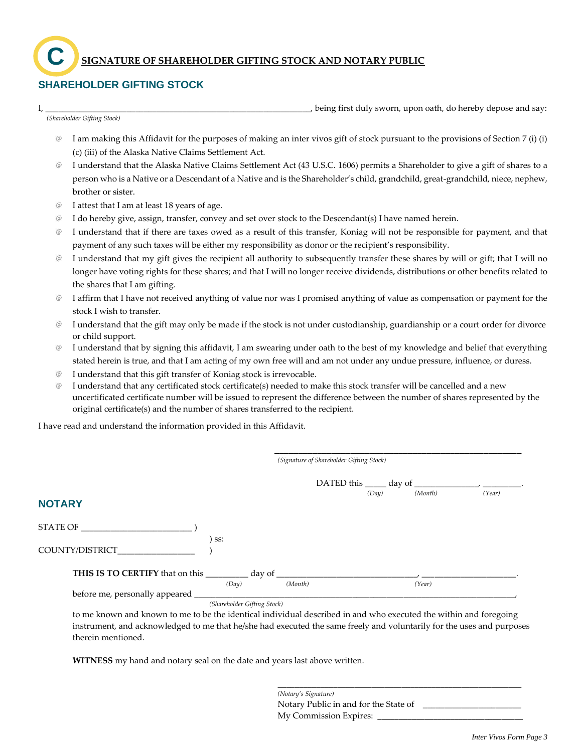**C SIGNATURE OF SHAREHOLDER GIFTING STOCK AND NOTARY PUBLIC**

#### **SHAREHOLDER GIFTING STOCK**

 *(Shareholder Gifting Stock)*

I, \_\_\_\_\_\_\_\_\_\_\_\_\_\_\_\_\_\_\_\_\_\_\_\_\_\_\_\_\_\_\_\_\_\_\_\_\_\_\_\_\_\_\_\_\_\_\_\_\_\_\_\_\_\_\_\_\_\_\_\_\_\_, being first duly sworn, upon oath, do hereby depose and say:

- $\odot$  I am making this Affidavit for the purposes of making an inter vivos gift of stock pursuant to the provisions of Section 7 (i) (i) (c) (iii) of the Alaska Native Claims Settlement Act.
- I understand that the Alaska Native Claims Settlement Act (43 U.S.C. 1606) permits a Shareholder to give a gift of shares to a person who is a Native or a Descendant of a Native and is the Shareholder's child, grandchild, great-grandchild, niece, nephew, brother or sister.
- I attest that I am at least 18 years of age.
- $^{\circ}$ I do hereby give, assign, transfer, convey and set over stock to the Descendant(s) I have named herein.
- I understand that if there are taxes owed as a result of this transfer, Koniag will not be responsible for payment, and that payment of any such taxes will be either my responsibility as donor or the recipient's responsibility.
- $\circledcirc$ I understand that my gift gives the recipient all authority to subsequently transfer these shares by will or gift; that I will no longer have voting rights for these shares; and that I will no longer receive dividends, distributions or other benefits related to the shares that I am gifting.
- $\copyright$ I affirm that I have not received anything of value nor was I promised anything of value as compensation or payment for the stock I wish to transfer.
- $\degree$  I understand that the gift may only be made if the stock is not under custodianship, guardianship or a court order for divorce or child support.
- I understand that by signing this affidavit, I am swearing under oath to the best of my knowledge and belief that everything  $^{\circ}$ stated herein is true, and that I am acting of my own free will and am not under any undue pressure, influence, or duress.
- $^\copyright$ I understand that this gift transfer of Koniag stock is irrevocable.
- $^\copyright$ I understand that any certificated stock certificate(s) needed to make this stock transfer will be cancelled and a new uncertificated certificate number will be issued to represent the difference between the number of shares represented by the original certificate(s) and the number of shares transferred to the recipient.

I have read and understand the information provided in this Affidavit.

|                                 |                                                |        |         | (Signature of Shareholder Gifting Stock) |       |         |        |
|---------------------------------|------------------------------------------------|--------|---------|------------------------------------------|-------|---------|--------|
|                                 |                                                |        |         | DATED this _____ day of                  |       |         |        |
| <b>NOTARY</b>                   |                                                |        |         |                                          | (Day) | (Month) | (Year) |
| <b>STATE OF</b>                 |                                                |        |         |                                          |       |         |        |
| COUNTY/DISTRICT                 | SS:                                            |        |         |                                          |       |         |        |
| THIS IS TO CERTIFY that on this |                                                | day of |         |                                          |       |         |        |
| before me, personally appeared  | (Day)<br>$(Chavaboldov Ciflim_{\alpha} Ctoch)$ |        | (Month) |                                          |       | (Year)  |        |

*(Shareholder Gifting Stock)*

to me known and known to me to be the identical individual described in and who executed the within and foregoing instrument, and acknowledged to me that he/she had executed the same freely and voluntarily for the uses and purposes therein mentioned.

**WITNESS** my hand and notary seal on the date and years last above written.

\_\_\_\_\_\_\_\_\_\_\_\_\_\_\_\_\_\_\_\_\_\_\_\_\_\_\_\_\_\_\_\_\_\_\_\_\_\_\_\_\_\_\_\_\_\_\_\_\_\_\_\_\_\_\_\_\_ *(Notary's Signature)* Notary Public in and for the State of \_\_\_\_\_\_\_\_\_\_\_\_\_\_\_\_\_\_\_\_\_\_\_ My Commission Expires: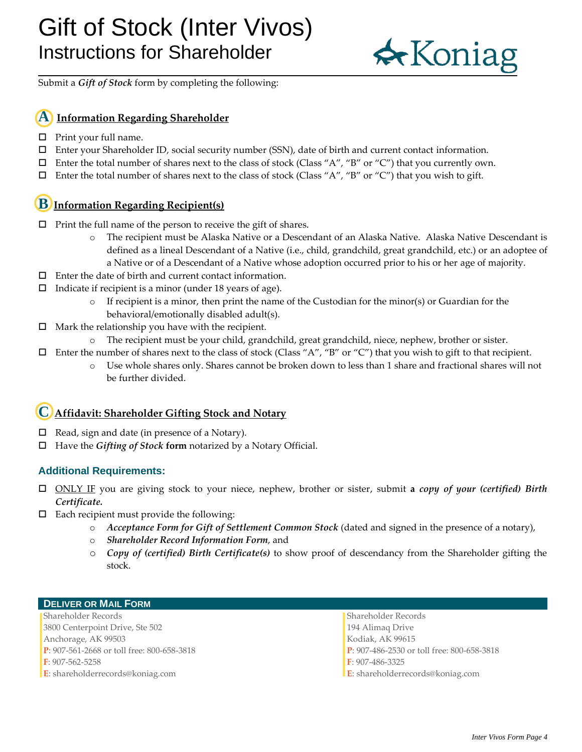

Submit a *Gift of Stock* form by completing the following:

#### **A Information Regarding Shareholder**

- $\Box$  Print your full name.
- Enter your Shareholder ID, social security number (SSN), date of birth and current contact information.
- $\Box$  Enter the total number of shares next to the class of stock (Class "A", "B" or "C") that you currently own.
- $\Box$  Enter the total number of shares next to the class of stock (Class "A", "B" or "C") that you wish to gift.

#### **B Information Regarding Recipient(s)**

- $\Box$  Print the full name of the person to receive the gift of shares.
	- o The recipient must be Alaska Native or a Descendant of an Alaska Native. Alaska Native Descendant is defined as a lineal Descendant of a Native (i.e., child, grandchild, great grandchild, etc.) or an adoptee of a Native or of a Descendant of a Native whose adoption occurred prior to his or her age of majority.
- $\square$  Enter the date of birth and current contact information.
- $\Box$  Indicate if recipient is a minor (under 18 years of age).
	- $\circ$  If recipient is a minor, then print the name of the Custodian for the minor(s) or Guardian for the behavioral/emotionally disabled adult(s).
- $\Box$  Mark the relationship you have with the recipient.
	- o The recipient must be your child, grandchild, great grandchild, niece, nephew, brother or sister.
- $\Box$  Enter the number of shares next to the class of stock (Class "A", "B" or "C") that you wish to gift to that recipient.
	- o Use whole shares only. Shares cannot be broken down to less than 1 share and fractional shares will not be further divided.

#### **C Affidavit: Shareholder Gifting Stock and Notary**

- $\Box$  Read, sign and date (in presence of a Notary).
- Have the *Gifting of Stock* **form** notarized by a Notary Official.

#### **Additional Requirements:**

- ONLY IF you are giving stock to your niece, nephew, brother or sister, submit **a** *copy of your (certified) Birth Certificate.*
- $\Box$  Each recipient must provide the following:
	- o *Acceptance Form for Gift of Settlement Common Stock* (dated and signed in the presence of a notary),
	- o *Shareholder Record Information Form*, and
	- o *Copy of (certified) Birth Certificate(s)* to show proof of descendancy from the Shareholder gifting the stock.

#### **DELIVER OR MAIL FORM**

Shareholder Records 3800 Centerpoint Drive, Ste 502 Anchorage, AK 99503

- **P**: 907-561-2668 or toll free: 800-658-3818
- **F**: 907-562-5258
- **E**: shareholderrecords@koniag.com

Shareholder Records 194 Alimaq Drive Kodiak, AK 99615 **P**: 907-486-2530 or toll free: 800-658-3818 **F**: 907-486-3325 **E**: shareholderrecords@koniag.com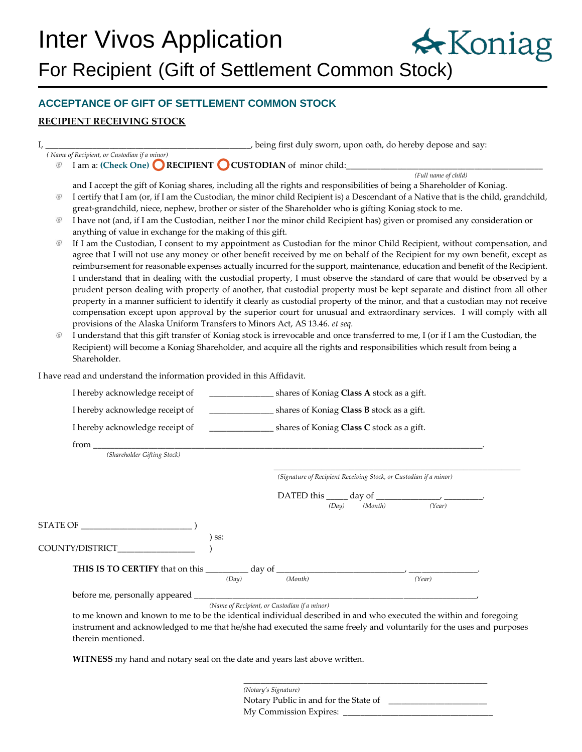# Inter Vivos Application

# $\bigstar$ Koniag

For Recipient (Gift of Settlement Common Stock)

#### **ACCEPTANCE OF GIFT OF SETTLEMENT COMMON STOCK**

#### **RECIPIENT RECEIVING STOCK**

I, \_\_\_\_\_\_\_\_\_\_\_\_\_\_\_\_\_\_\_\_\_\_\_\_\_\_\_\_\_\_\_\_\_\_\_\_\_\_\_\_\_\_\_\_\_\_\_\_, being first duly sworn, upon oath, do hereby depose and say:  *( Name of Recipient, or Custodian if a minor)*

© I am a: (Check One) ● RECIPIENT ● CUSTODIAN of minor child:

*(Full name of child)*

- and I accept the gift of Koniag shares, including all the rights and responsibilities of being a Shareholder of Koniag.
- $^{\copyright}$ I certify that I am (or, if I am the Custodian, the minor child Recipient is) a Descendant of a Native that is the child, grandchild, great-grandchild, niece, nephew, brother or sister of the Shareholder who is gifting Koniag stock to me.
- I have not (and, if I am the Custodian, neither I nor the minor child Recipient has) given or promised any consideration or  $\copyright$ anything of value in exchange for the making of this gift.
- If I am the Custodian, I consent to my appointment as Custodian for the minor Child Recipient, without compensation, and  $^\copyright$ agree that I will not use any money or other benefit received by me on behalf of the Recipient for my own benefit, except as reimbursement for reasonable expenses actually incurred for the support, maintenance, education and benefit of the Recipient. I understand that in dealing with the custodial property, I must observe the standard of care that would be observed by a prudent person dealing with property of another, that custodial property must be kept separate and distinct from all other property in a manner sufficient to identify it clearly as custodial property of the minor, and that a custodian may not receive compensation except upon approval by the superior court for unusual and extraordinary services. I will comply with all provisions of the Alaska Uniform Transfers to Minors Act, AS 13.46. *et seq.*
- I understand that this gift transfer of Koniag stock is irrevocable and once transferred to me, I (or if I am the Custodian, the Recipient) will become a Koniag Shareholder, and acquire all the rights and responsibilities which result from being a Shareholder.

I have read and understand the information provided in this Affidavit.

| I hereby acknowledge receipt of     |                                                                    |  |                                              |       |                                                                   |                                                                   |  |
|-------------------------------------|--------------------------------------------------------------------|--|----------------------------------------------|-------|-------------------------------------------------------------------|-------------------------------------------------------------------|--|
| I hereby acknowledge receipt of     |                                                                    |  |                                              |       | _______________________ shares of Koniag Class B stock as a gift. |                                                                   |  |
| I hereby acknowledge receipt of     | ________________________ shares of Koniag Class C stock as a gift. |  |                                              |       |                                                                   |                                                                   |  |
|                                     |                                                                    |  |                                              |       |                                                                   |                                                                   |  |
| (Shareholder Gifting Stock)         |                                                                    |  |                                              |       |                                                                   |                                                                   |  |
|                                     |                                                                    |  |                                              |       |                                                                   | (Signature of Recipient Receiving Stock, or Custodian if a minor) |  |
|                                     |                                                                    |  |                                              | (Day) | (Month)                                                           | (Year)                                                            |  |
| STATE OF __________________________ |                                                                    |  |                                              |       |                                                                   |                                                                   |  |
| COUNTY/DISTRICT                     | SS:                                                                |  |                                              |       |                                                                   |                                                                   |  |
|                                     | (Day)                                                              |  | (Month)                                      |       |                                                                   | (Year)                                                            |  |
|                                     |                                                                    |  |                                              |       |                                                                   |                                                                   |  |
|                                     |                                                                    |  | (Name of Recipient, or Custodian if a minor) |       |                                                                   |                                                                   |  |

to me known and known to me to be the identical individual described in and who executed the within and foregoing instrument and acknowledged to me that he/she had executed the same freely and voluntarily for the uses and purposes therein mentioned.

**WITNESS** my hand and notary seal on the date and years last above written.

\_\_\_\_\_\_\_\_\_\_\_\_\_\_\_\_\_\_\_\_\_\_\_\_\_\_\_\_\_\_\_\_\_\_\_\_\_\_\_\_\_\_\_\_\_\_\_\_\_\_\_\_\_\_\_\_\_ *(Notary's Signature)* Notary Public in and for the State of \_\_\_\_\_\_\_\_\_\_\_\_\_\_\_\_\_\_\_\_\_\_\_ My Commission Expires: \_\_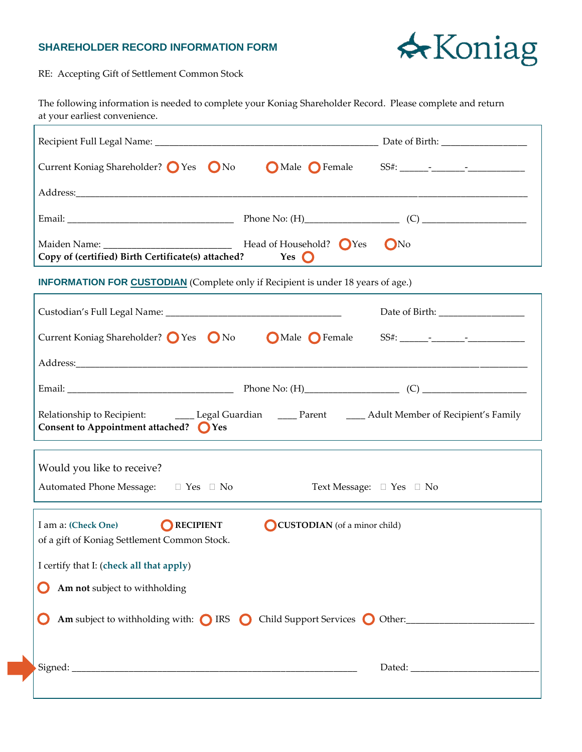#### **SHAREHOLDER RECORD INFORMATION FORM**



RE: Accepting Gift of Settlement Common Stock

| The following information is needed to complete your Koniag Shareholder Record. Please complete and return |  |
|------------------------------------------------------------------------------------------------------------|--|
| at your earliest convenience.                                                                              |  |

|                                                    |                                                    | Date of Birth: ________________ |
|----------------------------------------------------|----------------------------------------------------|---------------------------------|
| Current Koniag Shareholder? O Yes O No             | <b>O</b> Male <b>O</b> Female                      |                                 |
|                                                    |                                                    |                                 |
|                                                    |                                                    |                                 |
| Copy of (certified) Birth Certificate(s) attached? | Head of Household? $\bigcirc$ Yes<br>Yes $\bigcap$ | ONo                             |

**INFORMATION FOR CUSTODIAN** (Complete only if Recipient is under 18 years of age.)

| Current Koniag Shareholder? O Yes O No                                                                                                                                                                                                                          |  |
|-----------------------------------------------------------------------------------------------------------------------------------------------------------------------------------------------------------------------------------------------------------------|--|
|                                                                                                                                                                                                                                                                 |  |
|                                                                                                                                                                                                                                                                 |  |
| Relationship to Recipient: Legal Guardian ____ Parent ____ Adult Member of Recipient's Family<br>Consent to Appointment attached? CYes<br><u> 1989 - Andrea Santa Alemania, amerikana amerikana amerikana amerikana amerikana amerikana amerikana amerikana</u> |  |
| Would you like to receive?<br>Automated Phone Message: □ Yes □ No<br>Text Message: $\square$ Yes $\square$ No                                                                                                                                                   |  |
| <b>O</b> RECIPIENT<br>CUSTODIAN (of a minor child)<br>I am a: (Check One)<br>of a gift of Koniag Settlement Common Stock.                                                                                                                                       |  |
| I certify that I: (check all that apply)                                                                                                                                                                                                                        |  |
| Am not subject to withholding                                                                                                                                                                                                                                   |  |
| Am subject to withholding with: O IRS O Child Support Services O Other:                                                                                                                                                                                         |  |
|                                                                                                                                                                                                                                                                 |  |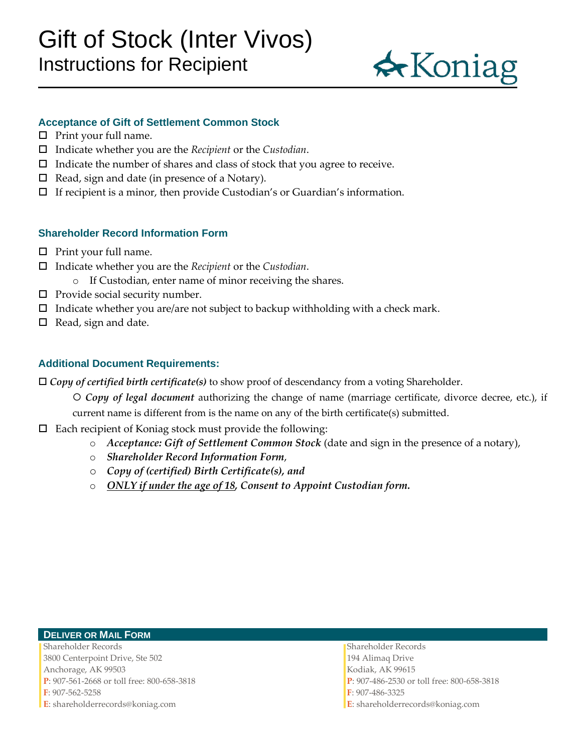# Gift of Stock (Inter Vivos) Instructions for Recipient



#### **Acceptance of Gift of Settlement Common Stock**

- $\Box$  Print your full name.
- Indicate whether you are the *Recipient* or the *Custodian*.
- $\Box$  Indicate the number of shares and class of stock that you agree to receive.
- $\Box$  Read, sign and date (in presence of a Notary).
- $\Box$  If recipient is a minor, then provide Custodian's or Guardian's information.

#### **Shareholder Record Information Form**

- $\Box$  Print your full name.
- Indicate whether you are the *Recipient* or the *Custodian*.
	- o If Custodian, enter name of minor receiving the shares.
- $\Box$  Provide social security number.
- $\Box$  Indicate whether you are/are not subject to backup withholding with a check mark.
- $\Box$  Read, sign and date.

#### **Additional Document Requirements:**

*Copy of certified birth certificate(s)* to show proof of descendancy from a voting Shareholder.

 *Copy of legal document* authorizing the change of name (marriage certificate, divorce decree, etc.), if current name is different from is the name on any of the birth certificate(s) submitted.

- $\Box$  Each recipient of Koniag stock must provide the following:
	- o *Acceptance: Gift of Settlement Common Stock* (date and sign in the presence of a notary),
	- o *Shareholder Record Information Form*,
	- o *Copy of (certified) Birth Certificate(s), and*
	- o *ONLY if under the age of 18, Consent to Appoint Custodian form.*

#### **DELIVER OR MAIL FORM**

Shareholder Records 3800 Centerpoint Drive, Ste 502 Anchorage, AK 99503 **P**: 907-561-2668 or toll free: 800-658-3818 **F**: 907-562-5258 **E**: shareholderrecords@koniag.com

Shareholder Records 194 Alimaq Drive Kodiak, AK 99615 **P**: 907-486-2530 or toll free: 800-658-3818 **F**: 907-486-3325 **E**: shareholderrecords@koniag.com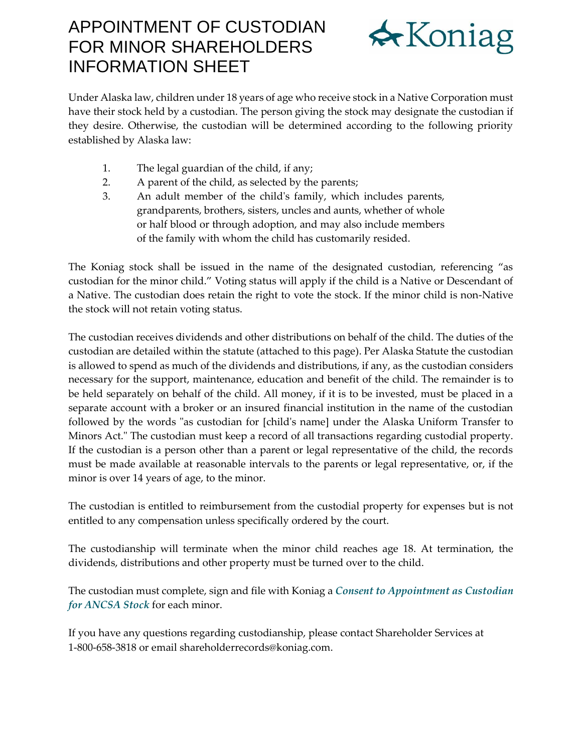## APPOINTMENT OF CUSTODIAN FOR MINOR SHAREHOLDERS INFORMATION SHEET



Under Alaska law, children under 18 years of age who receive stock in a Native Corporation must have their stock held by a custodian. The person giving the stock may designate the custodian if they desire. Otherwise, the custodian will be determined according to the following priority established by Alaska law:

- 1. The legal guardian of the child, if any;
- 2. A parent of the child, as selected by the parents;
- 3. An adult member of the child's family, which includes parents, grandparents, brothers, sisters, uncles and aunts, whether of whole or half blood or through adoption, and may also include members of the family with whom the child has customarily resided.

The Koniag stock shall be issued in the name of the designated custodian, referencing "as custodian for the minor child." Voting status will apply if the child is a Native or Descendant of a Native. The custodian does retain the right to vote the stock. If the minor child is non-Native the stock will not retain voting status.

The custodian receives dividends and other distributions on behalf of the child. The duties of the custodian are detailed within the statute (attached to this page). Per Alaska Statute the custodian is allowed to spend as much of the dividends and distributions, if any, as the custodian considers necessary for the support, maintenance, education and benefit of the child. The remainder is to be held separately on behalf of the child. All money, if it is to be invested, must be placed in a separate account with a broker or an insured financial institution in the name of the custodian followed by the words "as custodian for [child's name] under the Alaska Uniform Transfer to Minors Act." The custodian must keep a record of all transactions regarding custodial property. If the custodian is a person other than a parent or legal representative of the child, the records must be made available at reasonable intervals to the parents or legal representative, or, if the minor is over 14 years of age, to the minor.

The custodian is entitled to reimbursement from the custodial property for expenses but is not entitled to any compensation unless specifically ordered by the court.

The custodianship will terminate when the minor child reaches age 18. At termination, the dividends, distributions and other property must be turned over to the child.

The custodian must complete, sign and file with Koniag a *Consent to Appointment as Custodian for ANCSA Stock* for each minor.

If you have any questions regarding custodianship, please contact Shareholder Services at 1-800-658-3818 or email shareholderrecords@koniag.com.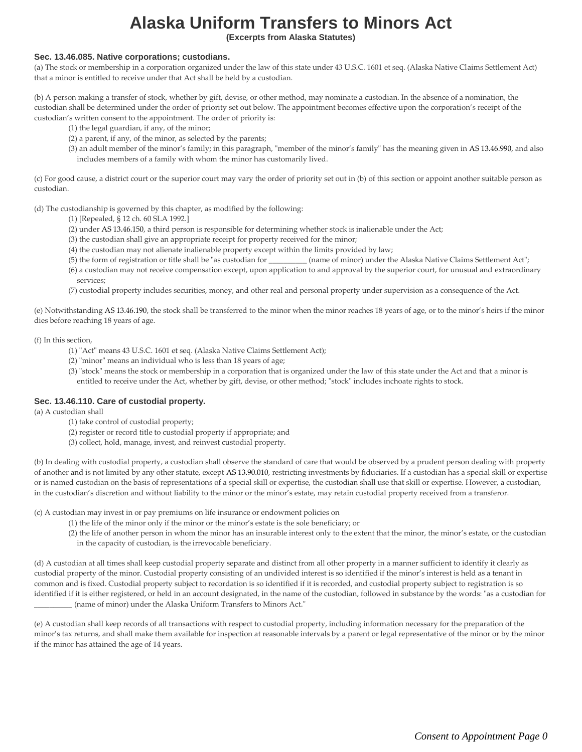## **Alaska Uniform Transfers to Minors Act**

**(Excerpts from Alaska Statutes)**

#### **Sec. 13.46.085. Native corporations; custodians.**

(a) The stock or membership in a corporation organized under the law of this state under 43 U.S.C. 1601 et seq. (Alaska Native Claims Settlement Act) that a minor is entitled to receive under that Act shall be held by a custodian.

(b) A person making a transfer of stock, whether by gift, devise, or other method, may nominate a custodian. In the absence of a nomination, the custodian shall be determined under the order of priority set out below. The appointment becomes effective upon the corporation's receipt of the custodian's written consent to the appointment. The order of priority is:

- (1) the legal guardian, if any, of the minor;
- (2) a parent, if any, of the minor, as selected by the parents;
- (3) an adult member of the minor's family; in this paragraph, "member of the minor's family" has the meaning given in AS 13.46.990, and also includes members of a family with whom the minor has customarily lived.

(c) For good cause, a district court or the superior court may vary the order of priority set out in (b) of this section or appoint another suitable person as custodian.

(d) The custodianship is governed by this chapter, as modified by the following:

- (1) [Repealed, § 12 ch. 60 SLA 1992.]
- (2) under AS 13.46.150, a third person is responsible for determining whether stock is inalienable under the Act;
- (3) the custodian shall give an appropriate receipt for property received for the minor;
- (4) the custodian may not alienate inalienable property except within the limits provided by law;
- (5) the form of registration or title shall be "as custodian for \_\_\_\_\_\_\_\_\_\_ (name of minor) under the Alaska Native Claims Settlement Act";
- (6) a custodian may not receive compensation except, upon application to and approval by the superior court, for unusual and extraordinary services;

(7) custodial property includes securities, money, and other real and personal property under supervision as a consequence of the Act.

(e) Notwithstanding AS 13.46.190, the stock shall be transferred to the minor when the minor reaches 18 years of age, or to the minor's heirs if the minor dies before reaching 18 years of age.

(f) In this section,

- (1) "Act" means 43 U.S.C. 1601 et seq. (Alaska Native Claims Settlement Act);
- (2) "minor" means an individual who is less than 18 years of age;
- (3) "stock" means the stock or membership in a corporation that is organized under the law of this state under the Act and that a minor is entitled to receive under the Act, whether by gift, devise, or other method; "stock" includes inchoate rights to stock.

#### **Sec. 13.46.110. Care of custodial property.**

(a) A custodian shall

- (1) take control of custodial property;
- (2) register or record title to custodial property if appropriate; and
- (3) collect, hold, manage, invest, and reinvest custodial property.

(b) In dealing with custodial property, a custodian shall observe the standard of care that would be observed by a prudent person dealing with property of another and is not limited by any other statute, except AS 13.90.010, restricting investments by fiduciaries. If a custodian has a special skill or expertise or is named custodian on the basis of representations of a special skill or expertise, the custodian shall use that skill or expertise. However, a custodian, in the custodian's discretion and without liability to the minor or the minor's estate, may retain custodial property received from a transferor.

(c) A custodian may invest in or pay premiums on life insurance or endowment policies on

- (1) the life of the minor only if the minor or the minor's estate is the sole beneficiary; or
- (2) the life of another person in whom the minor has an insurable interest only to the extent that the minor, the minor's estate, or the custodian in the capacity of custodian, is the irrevocable beneficiary.

(d) A custodian at all times shall keep custodial property separate and distinct from all other property in a manner sufficient to identify it clearly as custodial property of the minor. Custodial property consisting of an undivided interest is so identified if the minor's interest is held as a tenant in common and is fixed. Custodial property subject to recordation is so identified if it is recorded, and custodial property subject to registration is so identified if it is either registered, or held in an account designated, in the name of the custodian, followed in substance by the words: "as a custodian for \_\_\_\_\_\_\_\_\_\_ (name of minor) under the Alaska Uniform Transfers to Minors Act."

(e) A custodian shall keep records of all transactions with respect to custodial property, including information necessary for the preparation of the minor's tax returns, and shall make them available for inspection at reasonable intervals by a parent or legal representative of the minor or by the minor if the minor has attained the age of 14 years.